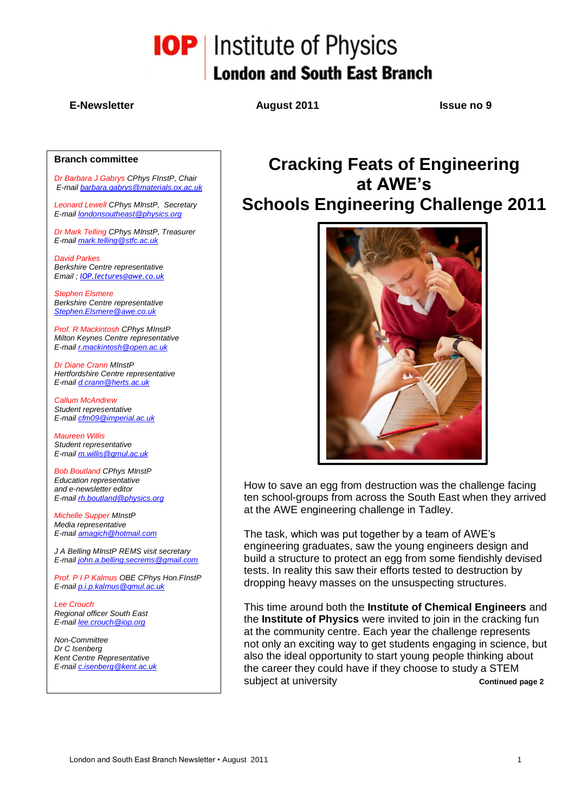# **IOP** Institute of Physics **London and South East Branch**

### **E-Newsletter August 2011 Issue no 9**

### **Branch committee**

*Dr Barbara J Gabrys CPhys FInstP, Chair E-mail [barbara.gabrys@materials.ox.ac.uk](mailto:barbara.gabrys@materials.ox.ac.uk)*

*Leonard Lewell CPhys MInstP, Secretary E-mail [londonsoutheast@physics.org](mailto:londonsoutheast@physics.org)*

*Dr Mark Telling CPhys MInstP, Treasurer E-mail [mark.telling@stfc.ac.uk](mailto:mark.telling@stfc.ac.uk)*

*David Parkes Berkshire Centre representative Email ; [IOP.lectures@awe.co.uk](mailto:IOP.lectures@awe.co.uk)*

*Stephen Elsmere Berkshire Centre representative [Stephen.Elsmere@awe.co.uk](mailto:Stephen.Elsmere@awe.co.uk)*

*Prof. R Mackintosh CPhys MInstP Milton Keynes Centre representative E-mail [r.mackintosh@open.ac.uk](mailto:r.mackintosh@open.ac.uk)*

*Dr Diane Crann MInstP Hertfordshire Centre representative E-mail [d.crann@herts.ac.uk](mailto:d.crann@herts.ac.uk)*

*Callum McAndrew Student representative E-mail [cfm09@imperial.ac.uk](mailto:cfm09@imperial.ac.uk)*

*Maureen Willis Student representative E-mail [m.willis@qmul.ac.uk](mailto:m.willis@qmul.ac.uk)*

*Bob Boutland CPhys MInstP Education representative and e-newsletter editor E-mail [rh.boutland@physics.org](mailto:rh.boutland@physics.org)*

*Michelle Supper MInstP Media representative E-mail [amagich@hotmail.com](mailto:amagich@hotmail.com)*

*J A Belling MInstP REMS visit secretary E-mail [john.a.belling.secrems@gmail.com](mailto:john.a.belling.secrems@gmail.com)*

*Prof. P I P Kalmus OBE CPhys Hon.FInstP E-mail [p.i.p.kalmus@qmul.ac.uk](mailto:p.i.p.kalmus@qmul.ac.uk)*

*Lee Crouch Regional officer South East E-mail [lee.crouch@iop.org](mailto:lee.crouch@iop.org)*

*Non-Committee Dr C Isenberg Kent Centre Representative E-mail [c.isenberg@kent.ac.uk](mailto:c.isenberg@kent.ac.uk)*

### **Cracking Feats of Engineering at AWE's Schools Engineering Challenge 2011**



How to save an egg from destruction was the challenge facing ten school-groups from across the South East when they arrived at the AWE engineering challenge in Tadley.

The task, which was put together by a team of AWE"s engineering graduates, saw the young engineers design and build a structure to protect an egg from some fiendishly devised tests. In reality this saw their efforts tested to destruction by dropping heavy masses on the unsuspecting structures.

This time around both the **Institute of Chemical Engineers** and the **Institute of Physics** were invited to join in the cracking fun at the community centre. Each year the challenge represents not only an exciting way to get students engaging in science, but also the ideal opportunity to start young people thinking about the career they could have if they choose to study a STEM subject at university **Continued page 2**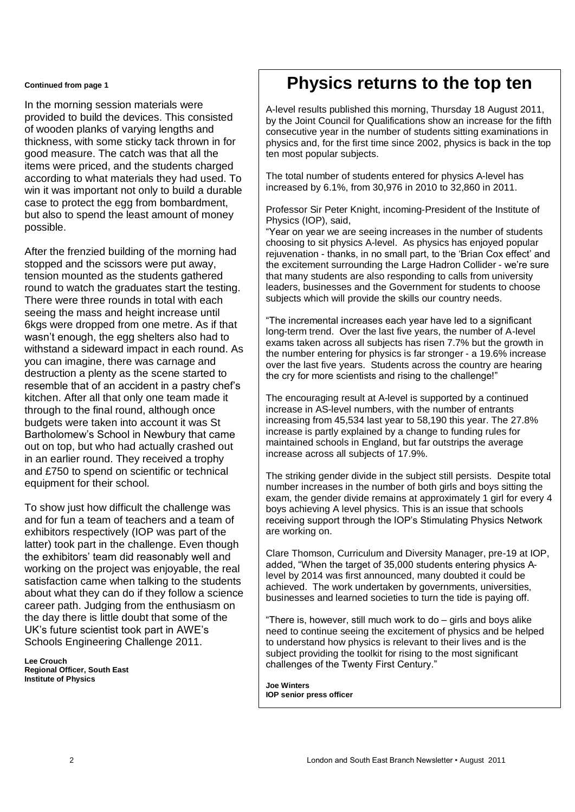#### **Continued from page 1**

In the morning session materials were provided to build the devices. This consisted of wooden planks of varying lengths and thickness, with some sticky tack thrown in for good measure. The catch was that all the items were priced, and the students charged according to what materials they had used. To win it was important not only to build a durable case to protect the egg from bombardment, but also to spend the least amount of money possible.

After the frenzied building of the morning had stopped and the scissors were put away, tension mounted as the students gathered round to watch the graduates start the testing. There were three rounds in total with each seeing the mass and height increase until 6kgs were dropped from one metre. As if that wasn"t enough, the egg shelters also had to withstand a sideward impact in each round. As you can imagine, there was carnage and destruction a plenty as the scene started to resemble that of an accident in a pastry chef"s kitchen. After all that only one team made it through to the final round, although once budgets were taken into account it was St Bartholomew"s School in Newbury that came out on top, but who had actually crashed out in an earlier round. They received a trophy and £750 to spend on scientific or technical equipment for their school.

To show just how difficult the challenge was and for fun a team of teachers and a team of exhibitors respectively (IOP was part of the latter) took part in the challenge. Even though the exhibitors" team did reasonably well and working on the project was enjoyable, the real satisfaction came when talking to the students about what they can do if they follow a science career path. Judging from the enthusiasm on the day there is little doubt that some of the UK"s future scientist took part in AWE"s Schools Engineering Challenge 2011.

**Lee Crouch Regional Officer, South East Institute of Physics** 

### **Physics returns to the top ten**

A-level results published this morning, Thursday 18 August 2011, by the Joint Council for Qualifications show an increase for the fifth consecutive year in the number of students sitting examinations in physics and, for the first time since 2002, physics is back in the top ten most popular subjects.

The total number of students entered for physics A-level has increased by 6.1%, from 30,976 in 2010 to 32,860 in 2011.

Professor Sir Peter Knight, incoming-President of the Institute of Physics (IOP), said,

"Year on year we are seeing increases in the number of students choosing to sit physics A-level. As physics has enjoyed popular rejuvenation - thanks, in no small part, to the "Brian Cox effect" and the excitement surrounding the Large Hadron Collider - we"re sure that many students are also responding to calls from university leaders, businesses and the Government for students to choose subjects which will provide the skills our country needs.

"The incremental increases each year have led to a significant long-term trend. Over the last five years, the number of A-level exams taken across all subjects has risen 7.7% but the growth in the number entering for physics is far stronger - a 19.6% increase over the last five years. Students across the country are hearing the cry for more scientists and rising to the challenge!"

The encouraging result at A-level is supported by a continued increase in AS-level numbers, with the number of entrants increasing from 45,534 last year to 58,190 this year. The 27.8% increase is partly explained by a change to funding rules for maintained schools in England, but far outstrips the average increase across all subjects of 17.9%.

The striking gender divide in the subject still persists. Despite total number increases in the number of both girls and boys sitting the exam, the gender divide remains at approximately 1 girl for every 4 boys achieving A level physics. This is an issue that schools receiving support through the IOP"s Stimulating Physics Network are working on.

Clare Thomson, Curriculum and Diversity Manager, pre-19 at IOP, added, "When the target of 35,000 students entering physics Alevel by 2014 was first announced, many doubted it could be achieved. The work undertaken by governments, universities, businesses and learned societies to turn the tide is paying off.

"There is, however, still much work to do – girls and boys alike need to continue seeing the excitement of physics and be helped to understand how physics is relevant to their lives and is the subject providing the toolkit for rising to the most significant challenges of the Twenty First Century."

**Joe Winters IOP senior press officer**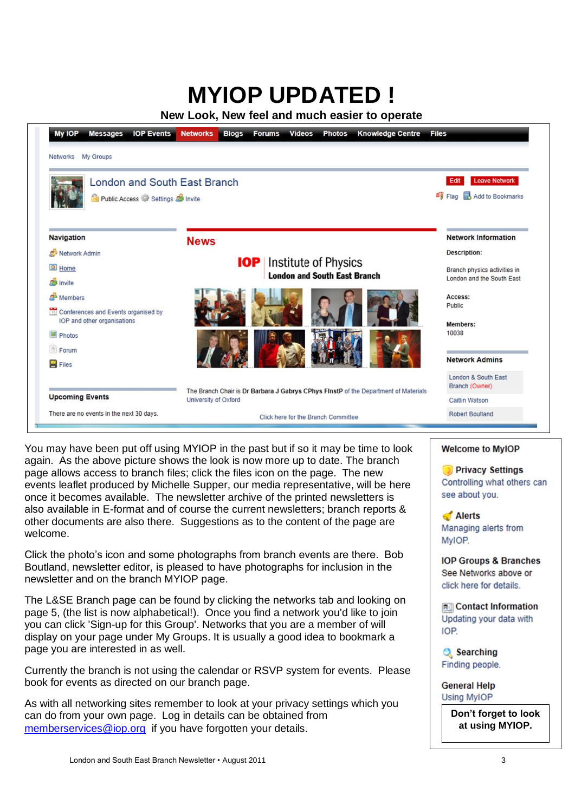# **MYIOP UPDATED !**

**New Look, New feel and much easier to operate**



You may have been put off using MYIOP in the past but if so it may be time to look again. As the above picture shows the look is now more up to date. The branch page allows access to branch files; click the files icon on the page. The new events leaflet produced by Michelle Supper, our media representative, will be here once it becomes available. The newsletter archive of the printed newsletters is also available in E-format and of course the current newsletters; branch reports & other documents are also there. Suggestions as to the content of the page are welcome.

Click the photo's icon and some photographs from branch events are there. Bob Boutland, newsletter editor, is pleased to have photographs for inclusion in the newsletter and on the branch MYIOP page.

The L&SE Branch page can be found by clicking the networks tab and looking on page 5, (the list is now alphabetical!). Once you find a network you'd like to join you can click 'Sign-up for this Group'. Networks that you are a member of will display on your page under My Groups. It is usually a good idea to bookmark a page you are interested in as well.

Currently the branch is not using the calendar or RSVP system for events. Please book for events as directed on our branch page.

As with all networking sites remember to look at your privacy settings which you can do from your own page. Log in details can be obtained from [memberservices@iop.org](mailto:memberservices@iop.org) if you have forgotten your details.

### **Welcome to MyIOP**

**Privacy Settings** Controlling what others can see about you.

Alerts Managing alerts from MyIOP.

**IOP Groups & Branches** See Networks above or click here for details.

**Re** Contact Information Updating your data with IOP.

**Q** Searching Finding people.

**General Help Using MyIOP** 

> **Don't forget to look at using MYIOP.**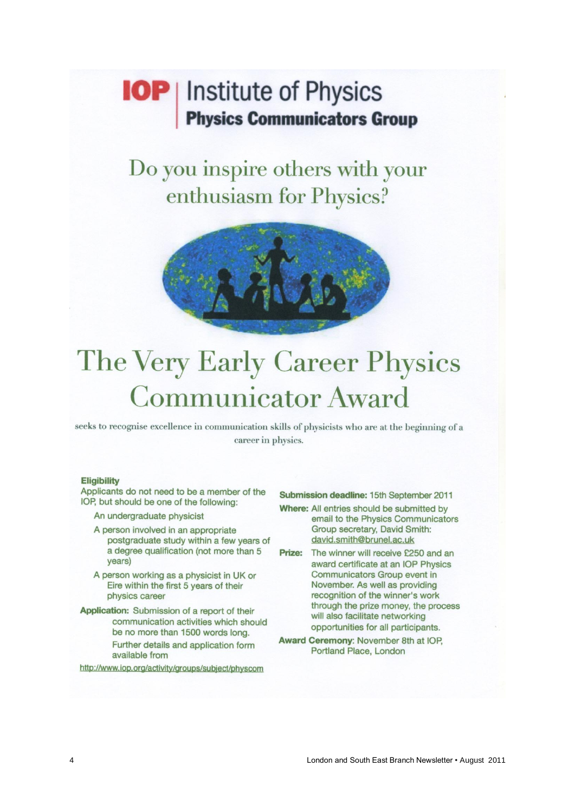### **IOP** | Institute of Physics **Physics Communicators Group**

### Do you inspire others with your enthusiasm for Physics?



# The Very Early Career Physics **Communicator Award**

seeks to recognise excellence in communication skills of physicists who are at the beginning of a career in physics.

#### **Eligibility**

Applicants do not need to be a member of the IOP, but should be one of the following:

An undergraduate physicist

A person involved in an appropriate postgraduate study within a few years of a degree qualification (not more than 5 years)

A person working as a physicist in UK or Eire within the first 5 years of their physics career

Application: Submission of a report of their communication activities which should be no more than 1500 words long. Further details and application form available from

http://www.iop.org/activity/groups/subject/physcom

Submission deadline: 15th September 2011

- Where: All entries should be submitted by email to the Physics Communicators Group secretary, David Smith: david.smith@brunel.ac.uk
- Prize: The winner will receive £250 and an award certificate at an IOP Physics Communicators Group event in November. As well as providing recognition of the winner's work through the prize money, the process will also facilitate networking opportunities for all participants.
- Award Ceremony: November 8th at IOP, Portland Place, London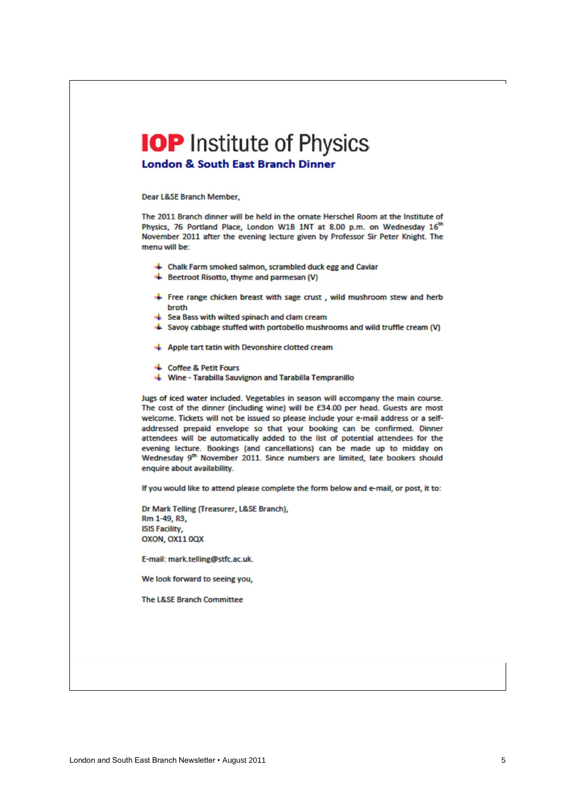# **IOP** Institute of Physics

**London & South East Branch Dinner** 

Dear L&SE Branch Member,

The 2011 Branch dinner will be held in the ornate Herschel Room at the Institute of Physics, 76 Portland Place, London W1B 1NT at 8.00 p.m. on Wednesday 16th November 2011 after the evening lecture given by Professor Sir Peter Knight. The menu will be:

- + Chalk Farm smoked salmon, scrambled duck egg and Caviar
- Beetroot Risotto, thyme and parmesan (V)
- + Free range chicken breast with sage crust, wild mushroom stew and herb hroth
- Sea Bass with wilted spinach and clam cream
- + Savoy cabbage stuffed with portobello mushrooms and wild truffle cream (V)
- Apple tart tatin with Devonshire clotted cream
- Coffee & Petit Fours
- Wine Tarabilla Sauvignon and Tarabilla Tempranillo

Jugs of iced water included. Vegetables in season will accompany the main course. The cost of the dinner (including wine) will be £34.00 per head. Guests are most welcome. Tickets will not be issued so please include your e-mail address or a selfaddressed prepaid envelope so that your booking can be confirmed. Dinner attendees will be automatically added to the list of potential attendees for the evening lecture. Bookings (and cancellations) can be made up to midday on Wednesday 9th November 2011. Since numbers are limited, late bookers should enquire about availability.

If you would like to attend please complete the form below and e-mail, or post, it to:

Dr Mark Telling (Treasurer, L&SE Branch), Rm 1-49, R3, **ISIS Facility.** OXON, OX11 0QX

E-mail: mark.telling@stfc.ac.uk.

We look forward to seeing you,

The L&SE Branch Committee